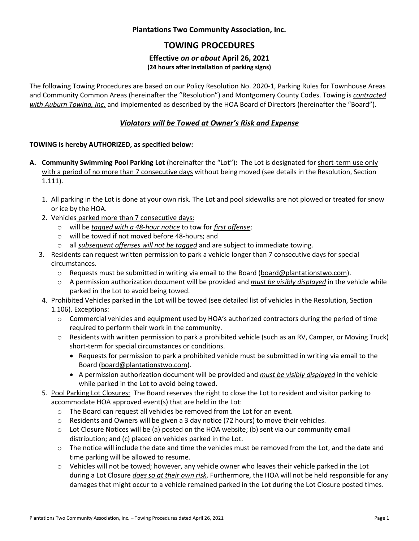## **Plantations Two Community Association, Inc.**

# **TOWING PROCEDURES**

#### **Effective** *on or about* **April 26, 2021 (24 hours after installation of parking signs)**

The following Towing Procedures are based on our Policy Resolution No. 2020-1, Parking Rules for Townhouse Areas and Community Common Areas (hereinafter the "Resolution") and Montgomery County Codes. Towing is *contracted with Auburn Towing, Inc.* and implemented as described by the HOA Board of Directors (hereinafter the "Board").

## *Violators will be Towed at Owner's Risk and Expense*

### **TOWING is hereby AUTHORIZED, as specified below:**

- **A. Community Swimming Pool Parking Lot** (hereinafter the "Lot")**:** The Lot is designated for short-term use only with a period of no more than 7 consecutive days without being moved (see details in the Resolution, Section 1.111).
	- 1. All parking in the Lot is done at your own risk. The Lot and pool sidewalks are not plowed or treated for snow or ice by the HOA.
	- 2. Vehicles parked more than 7 consecutive days:
		- o will be *tagged with a 48-hour notice* to tow for *first offense*;
		- o will be towed if not moved before 48-hours; and
		- o all *subsequent offenses will not be tagged* and are subject to immediate towing.
	- 3. Residents can request written permission to park a vehicle longer than 7 consecutive days for special circumstances.
		- o Requests must be submitted in writing via email to the Board [\(board@plantationstwo.com\)](mailto:board@plantationstwo.com).
		- o A permission authorization document will be provided and *must be visibly displayed* in the vehicle while parked in the Lot to avoid being towed.
	- 4. Prohibited Vehicles parked in the Lot will be towed (see detailed list of vehicles in the Resolution, Section 1.106). Exceptions:
		- o Commercial vehicles and equipment used by HOA's authorized contractors during the period of time required to perform their work in the community.
		- o Residents with written permission to park a prohibited vehicle (such as an RV, Camper, or Moving Truck) short-term for special circumstances or conditions.
			- Requests for permission to park a prohibited vehicle must be submitted in writing via email to the Board [\(board@plantationstwo.com\)](mailto:board@plantationstwo.com).
			- A permission authorization document will be provided and *must be visibly displayed* in the vehicle while parked in the Lot to avoid being towed.
	- 5. Pool Parking Lot Closures: The Board reserves the right to close the Lot to resident and visitor parking to accommodate HOA approved event(s) that are held in the Lot:
		- o The Board can request all vehicles be removed from the Lot for an event.
		- $\circ$  Residents and Owners will be given a 3 day notice (72 hours) to move their vehicles.
		- o Lot Closure Notices will be (a) posted on the HOA website; (b) sent via our community email distribution; and (c) placed on vehicles parked in the Lot.
		- o The notice will include the date and time the vehicles must be removed from the Lot, and the date and time parking will be allowed to resume.
		- $\circ$  Vehicles will not be towed; however, any vehicle owner who leaves their vehicle parked in the Lot during a Lot Closure *does so at their own risk*. Furthermore, the HOA will not be held responsible for any damages that might occur to a vehicle remained parked in the Lot during the Lot Closure posted times.